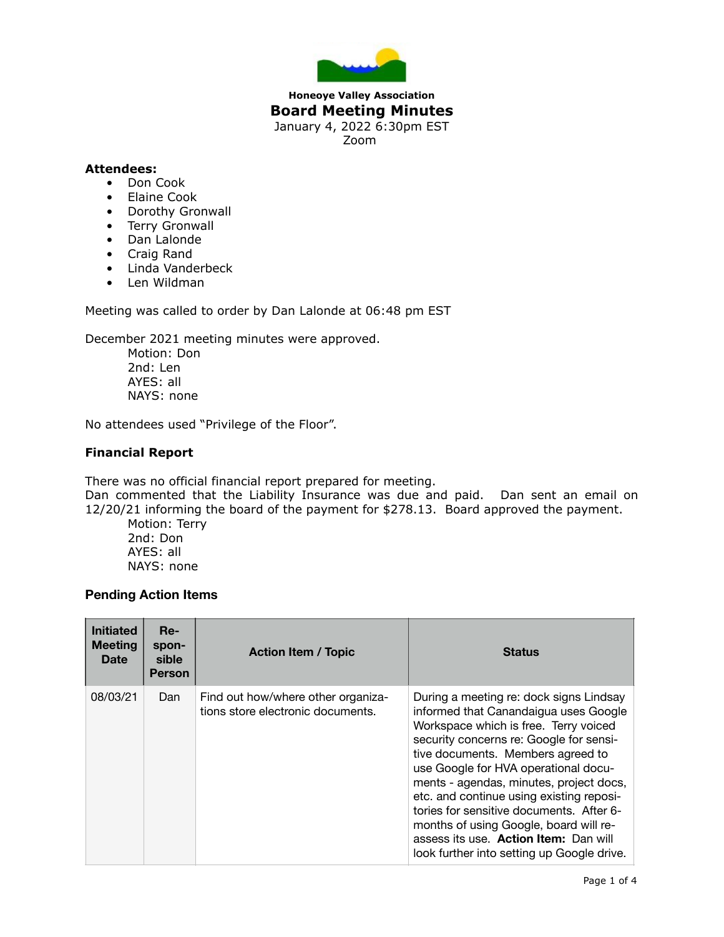

## **Honeoye Valley Association Board Meeting Minutes** January 4, 2022 6:30pm EST Zoom

## **Attendees:**

- Don Cook
- Elaine Cook
- Dorothy Gronwall
- Terry Gronwall
- Dan Lalonde
- Craig Rand
- Linda Vanderbeck
- Len Wildman

Meeting was called to order by Dan Lalonde at 06:48 pm EST

December 2021 meeting minutes were approved.

Motion: Don 2nd: Len AYES: all NAYS: none

No attendees used "Privilege of the Floor".

## **Financial Report**

There was no official financial report prepared for meeting.

Dan commented that the Liability Insurance was due and paid. Dan sent an email on 12/20/21 informing the board of the payment for \$278.13. Board approved the payment.

Motion: Terry 2nd: Don AYES: all NAYS: none

## **Pending Action Items**

| <b>Initiated</b><br><b>Meeting</b><br><b>Date</b> | Re-<br>spon-<br>sible<br><b>Person</b> | <b>Action Item / Topic</b>                                              | <b>Status</b>                                                                                                                                                                                                                                                                                                                                                                                                                                                                                                         |
|---------------------------------------------------|----------------------------------------|-------------------------------------------------------------------------|-----------------------------------------------------------------------------------------------------------------------------------------------------------------------------------------------------------------------------------------------------------------------------------------------------------------------------------------------------------------------------------------------------------------------------------------------------------------------------------------------------------------------|
| 08/03/21                                          | Dan                                    | Find out how/where other organiza-<br>tions store electronic documents. | During a meeting re: dock signs Lindsay<br>informed that Canandaigua uses Google<br>Workspace which is free. Terry voiced<br>security concerns re: Google for sensi-<br>tive documents. Members agreed to<br>use Google for HVA operational docu-<br>ments - agendas, minutes, project docs,<br>etc. and continue using existing reposi-<br>tories for sensitive documents. After 6-<br>months of using Google, board will re-<br>assess its use. Action Item: Dan will<br>look further into setting up Google drive. |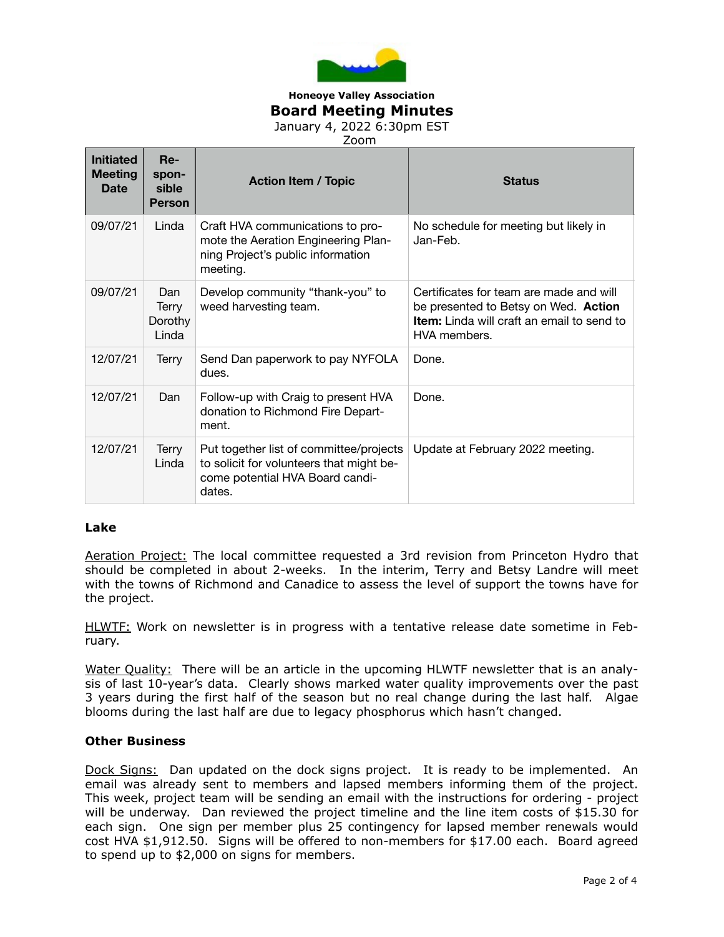

### **Honeoye Valley Association Board Meeting Minutes** January 4, 2022 6:30pm EST

Zoom

| <b>Initiated</b><br><b>Meeting</b><br>Date | Re-<br>spon-<br>sible<br><b>Person</b> | <b>Action Item / Topic</b>                                                                                                       | <b>Status</b>                                                                                                                                        |
|--------------------------------------------|----------------------------------------|----------------------------------------------------------------------------------------------------------------------------------|------------------------------------------------------------------------------------------------------------------------------------------------------|
| 09/07/21                                   | Linda                                  | Craft HVA communications to pro-<br>mote the Aeration Engineering Plan-<br>ning Project's public information<br>meeting.         | No schedule for meeting but likely in<br>Jan-Feb.                                                                                                    |
| 09/07/21                                   | Dan<br>Terry<br>Dorothy<br>Linda       | Develop community "thank-you" to<br>weed harvesting team.                                                                        | Certificates for team are made and will<br>be presented to Betsy on Wed. Action<br><b>Item:</b> Linda will craft an email to send to<br>HVA members. |
| 12/07/21                                   | Terry                                  | Send Dan paperwork to pay NYFOLA<br>dues.                                                                                        | Done.                                                                                                                                                |
| 12/07/21                                   | Dan                                    | Follow-up with Craig to present HVA<br>donation to Richmond Fire Depart-<br>ment.                                                | Done.                                                                                                                                                |
| 12/07/21                                   | Terry<br>Linda                         | Put together list of committee/projects<br>to solicit for volunteers that might be-<br>come potential HVA Board candi-<br>dates. | Update at February 2022 meeting.                                                                                                                     |

#### **Lake**

Aeration Project: The local committee requested a 3rd revision from Princeton Hydro that should be completed in about 2-weeks. In the interim, Terry and Betsy Landre will meet with the towns of Richmond and Canadice to assess the level of support the towns have for the project.

HLWTF: Work on newsletter is in progress with a tentative release date sometime in February.

Water Quality: There will be an article in the upcoming HLWTF newsletter that is an analysis of last 10-year's data. Clearly shows marked water quality improvements over the past 3 years during the first half of the season but no real change during the last half. Algae blooms during the last half are due to legacy phosphorus which hasn't changed.

### **Other Business**

Dock Signs: Dan updated on the dock signs project. It is ready to be implemented. An email was already sent to members and lapsed members informing them of the project. This week, project team will be sending an email with the instructions for ordering - project will be underway. Dan reviewed the project timeline and the line item costs of \$15.30 for each sign. One sign per member plus 25 contingency for lapsed member renewals would cost HVA \$1,912.50. Signs will be offered to non-members for \$17.00 each. Board agreed to spend up to \$2,000 on signs for members.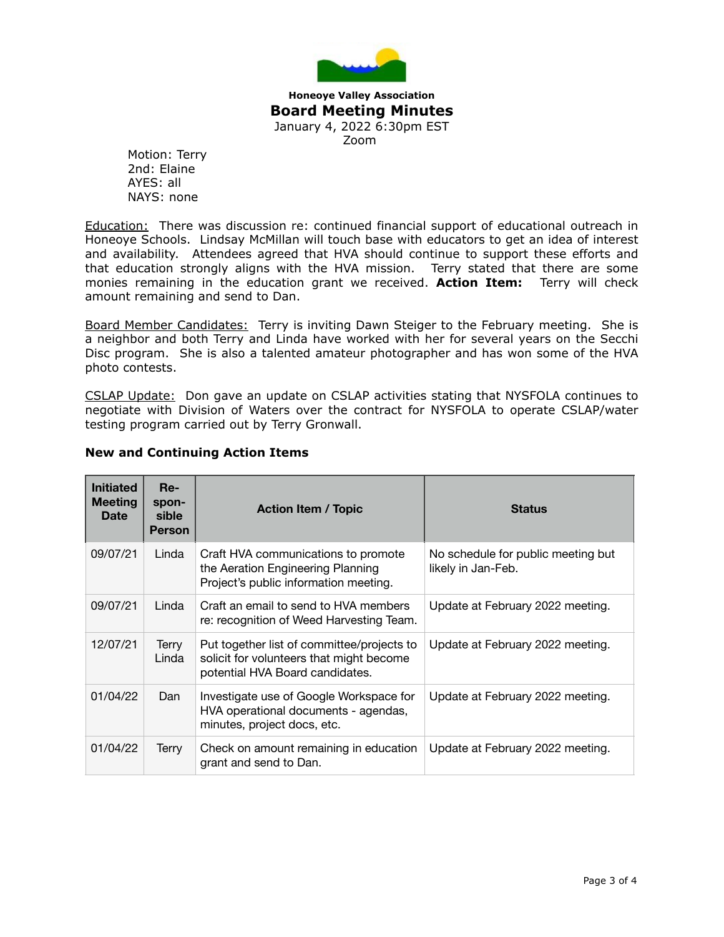

**Honeoye Valley Association Board Meeting Minutes** January 4, 2022 6:30pm EST Zoom

Motion: Terry 2nd: Elaine AYES: all NAYS: none

**Education:** There was discussion re: continued financial support of educational outreach in Honeoye Schools. Lindsay McMillan will touch base with educators to get an idea of interest and availability. Attendees agreed that HVA should continue to support these efforts and that education strongly aligns with the HVA mission. Terry stated that there are some monies remaining in the education grant we received. **Action Item:** Terry will check amount remaining and send to Dan.

Board Member Candidates: Terry is inviting Dawn Steiger to the February meeting. She is a neighbor and both Terry and Linda have worked with her for several years on the Secchi Disc program. She is also a talented amateur photographer and has won some of the HVA photo contests.

CSLAP Update: Don gave an update on CSLAP activities stating that NYSFOLA continues to negotiate with Division of Waters over the contract for NYSFOLA to operate CSLAP/water testing program carried out by Terry Gronwall.

| <b>Initiated</b><br><b>Meeting</b><br><b>Date</b> | Re-<br>spon-<br>sible<br><b>Person</b> | <b>Action Item / Topic</b>                                                                                                | <b>Status</b>                                            |
|---------------------------------------------------|----------------------------------------|---------------------------------------------------------------------------------------------------------------------------|----------------------------------------------------------|
| 09/07/21                                          | Linda                                  | Craft HVA communications to promote<br>the Aeration Engineering Planning<br>Project's public information meeting.         | No schedule for public meeting but<br>likely in Jan-Feb. |
| 09/07/21                                          | Linda                                  | Craft an email to send to HVA members<br>re: recognition of Weed Harvesting Team.                                         | Update at February 2022 meeting.                         |
| 12/07/21                                          | Terry<br>Linda                         | Put together list of committee/projects to<br>solicit for volunteers that might become<br>potential HVA Board candidates. | Update at February 2022 meeting.                         |
| 01/04/22                                          | Dan                                    | Investigate use of Google Workspace for<br>HVA operational documents - agendas,<br>minutes, project docs, etc.            | Update at February 2022 meeting.                         |
| 01/04/22                                          | Terry                                  | Check on amount remaining in education<br>grant and send to Dan.                                                          | Update at February 2022 meeting.                         |

# **New and Continuing Action Items**